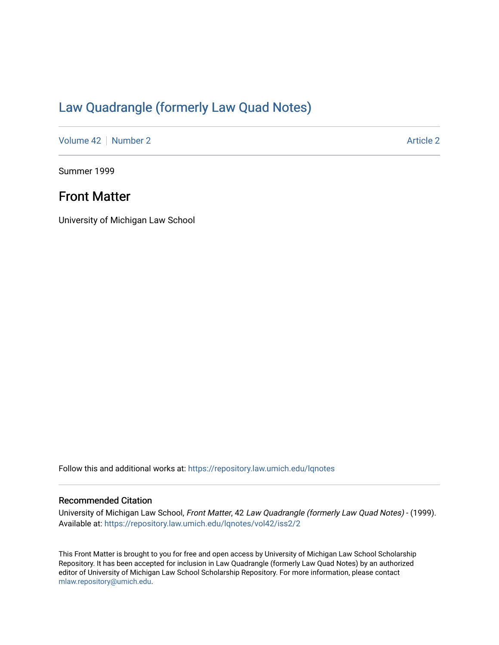## [Law Quadrangle \(formerly Law Quad Notes\)](https://repository.law.umich.edu/lqnotes)

[Volume 42](https://repository.law.umich.edu/lqnotes/vol42) [Number 2](https://repository.law.umich.edu/lqnotes/vol42/iss2) [Article 2](https://repository.law.umich.edu/lqnotes/vol42/iss2/2) Article 2 Article 2 Article 2 Article 2 Article 2 Article 2

Summer 1999

## Front Matter

University of Michigan Law School

Follow this and additional works at: [https://repository.law.umich.edu/lqnotes](https://repository.law.umich.edu/lqnotes?utm_source=repository.law.umich.edu%2Flqnotes%2Fvol42%2Fiss2%2F2&utm_medium=PDF&utm_campaign=PDFCoverPages) 

## Recommended Citation

University of Michigan Law School, Front Matter, 42 Law Quadrangle (formerly Law Quad Notes) - (1999). Available at: [https://repository.law.umich.edu/lqnotes/vol42/iss2/2](https://repository.law.umich.edu/lqnotes/vol42/iss2/2?utm_source=repository.law.umich.edu%2Flqnotes%2Fvol42%2Fiss2%2F2&utm_medium=PDF&utm_campaign=PDFCoverPages) 

This Front Matter is brought to you for free and open access by University of Michigan Law School Scholarship Repository. It has been accepted for inclusion in Law Quadrangle (formerly Law Quad Notes) by an authorized editor of University of Michigan Law School Scholarship Repository. For more information, please contact [mlaw.repository@umich.edu.](mailto:mlaw.repository@umich.edu)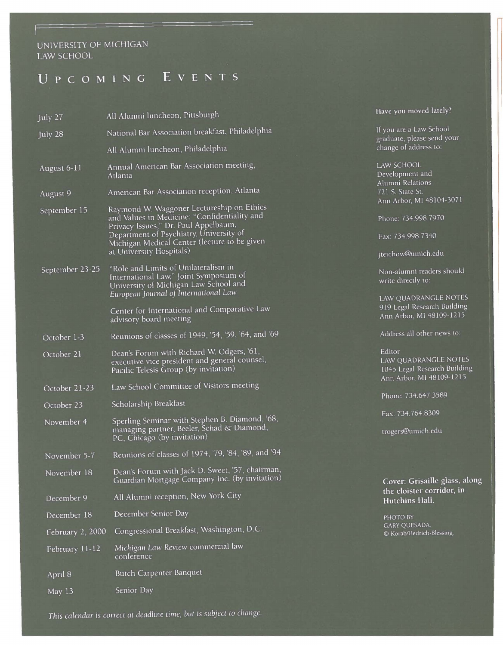## UNIVERSlTY OF MICHIGAN LAW SCHOOL

# UPCOMING EVENTS

| July 27          | All Alumni luncheon, Pittsburgh                                                                                                                                              | Have you moved lately?                                                                     |
|------------------|------------------------------------------------------------------------------------------------------------------------------------------------------------------------------|--------------------------------------------------------------------------------------------|
| July 28          | National Bar Association breakfast, Philadelphia                                                                                                                             | If you are a Law School                                                                    |
|                  | All Alumni luncheon, Philadelphia                                                                                                                                            | graduate, please send your<br>change of address to:                                        |
| August 6-11      | Annual American Bar Association meeting,<br>Atlanta                                                                                                                          | LAW SCHOOL<br>Development and<br>Alumni Relations                                          |
| August 9         | American Bar Association reception, Atlanta                                                                                                                                  | 721 S. State St.                                                                           |
| September 15     | Raymond W. Waggoner Lectureship on Ethics<br>and Values in Medicine: "Confidentiality and<br>Privacy Issues," Dr. Paul Appelbaum,<br>Department of Psychiatry, University of | Ann Arbor, MI 48104-3071<br>Phone: 734.998.7970<br>Fax: 734.998.7340                       |
|                  | Michigan Medical Center (lecture to be given<br>at University Hospitals)                                                                                                     | jteichow@umich.edu                                                                         |
| September 23-25  | "Role and Limits of Unilateralism in<br>International Law," Joint Symposium of<br>University of Michigan Law School and<br>European Journal of International Law             | Non-alumni readers should<br>write directly to:                                            |
|                  | Center for International and Comparative Law<br>advisory board meeting                                                                                                       | LAW QUADRANGLE NOTES<br>919 Legal Research Building<br>Ann Arbor, MI 48109-1215            |
| October 1-3      | Reunions of classes of 1949, '54, '59, '64, and '69                                                                                                                          | Address all other news to:                                                                 |
| October 21       | Dean's Forum with Richard W. Odgers, '61,<br>executive vice president and general counsel,<br>Pacific Telesis Group (by invitation)                                          | Editor<br>LAW QUADRANGLE NOTES<br>1045 Legal Research Building<br>Ann Arbor, MI 48109-1215 |
| October 21-23    | Law School Committee of Visitors meeting                                                                                                                                     |                                                                                            |
| October 23       | Scholarship Breakfast                                                                                                                                                        | Phone: 734.647.3589                                                                        |
| November 4       | Sperling Seminar with Stephen B. Diamond, '68,                                                                                                                               | Fax: 734.764.8309                                                                          |
|                  | managing partner, Beeler, Schad & Diamond,<br>PC, Chicago (by invitation)                                                                                                    | trogers@umich.edu                                                                          |
| November 5-7     | Reunions of classes of 1974, '79, '84, '89, and '94                                                                                                                          |                                                                                            |
| November 18      | Dean's Forum with Jack D. Sweet, '57, chairman,<br>Guardian Mortgage Company Inc. (by invitation)                                                                            | Cover: Grisaille glass, along                                                              |
| December 9       | All Alumni reception, New York City                                                                                                                                          | the cloister corridor, in<br>Hutchins Hall.                                                |
| December 18      | December Senior Day                                                                                                                                                          | PHOTO BY                                                                                   |
| February 2, 2000 | Congressional Breakfast, Washington, D.C.                                                                                                                                    | GARY QUESADA,<br>© Korab/Hedrich-Blessing.                                                 |
| February 11-12   | Michigan Law Review commercial law<br>conference                                                                                                                             |                                                                                            |
| April 8          | Butch Carpenter Banquet                                                                                                                                                      |                                                                                            |
| May 13           | Senior Day                                                                                                                                                                   |                                                                                            |

This *calendar* is *correct at deadline time, but* is *subject to change.*